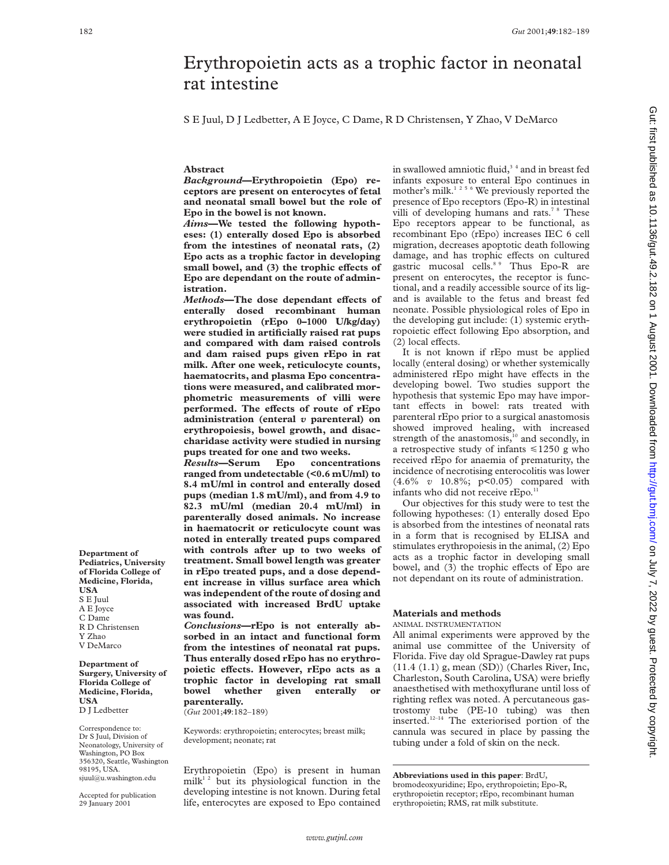# Erythropoietin acts as a trophic factor in neonatal rat intestine

S E Juul, D J Ledbetter, A E Joyce, C Dame, R D Christensen, Y Zhao, V DeMarco

## **Abstract**

*Background***—Erythropoietin (Epo) receptors are present on enterocytes of fetal and neonatal small bowel but the role of Epo in the bowel is not known.**

*Aims***—We tested the following hypotheses: (1) enterally dosed Epo is absorbed from the intestines of neonatal rats, (2) Epo acts as a trophic factor in developing** small bowel, and (3) the trophic effects of **Epo are dependant on the route of administration.**

*Methods*—The dose dependant effects of **enterally dosed recombinant human erythropoietin (rEpo 0–1000 U/kg/day) were studied in artificially raised rat pups and compared with dam raised controls and dam raised pups given rEpo in rat milk. After one week, reticulocyte counts, haematocrits, and plasma Epo concentrations were measured, and calibrated morphometric measurements of villi were** performed. The effects of route of rEpo **administration (enteral** *v* **parenteral) on erythropoiesis, bowel growth, and disaccharidase activity were studied in nursing pups treated for one and two weeks.**

*Results***—Serum Epo concentrations ranged from undetectable (<0.6 mU/ml) to 8.4 mU/ml in control and enterally dosed pups (median 1.8 mU/ml), and from 4.9 to 82.3 mU/ml (median 20.4 mU/ml) in parenterally dosed animals. No increase in haematocrit or reticulocyte count was noted in enterally treated pups compared with controls after up to two weeks of treatment. Small bowel length was greater in rEpo treated pups, and a dose dependent increase in villus surface area which was independent of the route of dosing and associated with increased BrdU uptake was found.**

*Conclusions***—rEpo is not enterally absorbed in an intact and functional form from the intestines of neonatal rat pups. Thus enterally dosed rEpo has no erythro**poietic effects. However, rEpo acts as a **trophic factor in developing rat small bowel whether given enterally or parenterally.**

(*Gut* 2001;**49**:182–189)

Keywords: erythropoietin; enterocytes; breast milk; development; neonate; rat

Erythropoietin (Epo) is present in human milk<sup>12</sup> but its physiological function in the developing intestine is not known. During fetal life, enterocytes are exposed to Epo contained in swallowed amniotic fluid, $3^4$  and in breast fed infants exposure to enteral Epo continues in mother's milk.<sup>1256</sup> We previously reported the presence of Epo receptors (Epo-R) in intestinal villi of developing humans and rats.<sup>7 8</sup> These Epo receptors appear to be functional, as recombinant Epo (rEpo) increases IEC 6 cell migration, decreases apoptotic death following damage, and has trophic effects on cultured gastric mucosal cells.<sup>89</sup> Thus Epo-R are present on enterocytes, the receptor is functional, and a readily accessible source of its ligand is available to the fetus and breast fed neonate. Possible physiological roles of Epo in the developing gut include: (1) systemic erythropoietic effect following Epo absorption, and  $(2)$  local effects.

It is not known if rEpo must be applied locally (enteral dosing) or whether systemically administered rEpo might have effects in the developing bowel. Two studies support the hypothesis that systemic Epo may have important effects in bowel: rats treated with parenteral rEpo prior to a surgical anastomosis showed improved healing, with increased strength of the anastomosis,<sup>10</sup> and secondly, in a retrospective study of infants  $\leq 1250$  g who received rEpo for anaemia of prematurity, the incidence of necrotising enterocolitis was lower (4.6% *v* 10.8%; p<0.05) compared with infants who did not receive rEpo.<sup>11</sup>

Our objectives for this study were to test the following hypotheses: (1) enterally dosed Epo is absorbed from the intestines of neonatal rats in a form that is recognised by ELISA and stimulates erythropoiesis in the animal, (2) Epo acts as a trophic factor in developing small bowel, and (3) the trophic effects of Epo are not dependant on its route of administration.

# **Materials and methods**

## ANIMAL INSTRUMENTATION

All animal experiments were approved by the animal use committee of the University of Florida. Five day old Sprague-Dawley rat pups (11.4 (1.1) g, mean (SD)) (Charles River, Inc, Charleston, South Carolina, USA) were briefly anaesthetised with methoxyflurane until loss of righting reflex was noted. A percutaneous gastrostomy tube (PE-10 tubing) was then inserted.<sup>12–14</sup> The exteriorised portion of the cannula was secured in place by passing the tubing under a fold of skin on the neck.

**Abbreviations used in this paper**: BrdU, bromodeoxyuridine; Epo, erythropoietin; Epo-R, erythropoietin receptor; rEpo, recombinant human erythropoietin; RMS, rat milk substitute.

**Department of Pediatrics, University of Florida College of Medicine, Florida, USA** S E Juul A E Joyce C Dame R D Christensen

- Y Zhao
- V DeMarco

**Department of Surgery, University of Florida College of Medicine, Florida, USA** D J Ledbetter

Correspondence to: Dr S Juul, Division of Neonatology, University of Washington, PO Box 356320, Seattle, Washington 98195, USA. sjuul@u.washington.edu

Accepted for publication 29 January 2001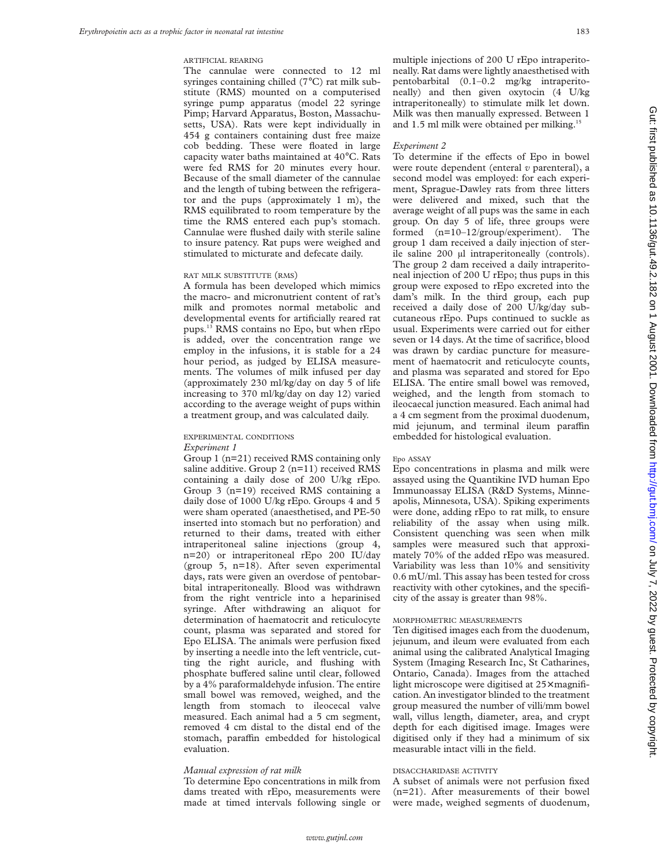#### ARTIFICIAL REARING

The cannulae were connected to 12 ml syringes containing chilled (7°C) rat milk substitute (RMS) mounted on a computerised syringe pump apparatus (model 22 syringe Pimp; Harvard Apparatus, Boston, Massachusetts, USA). Rats were kept individually in 454 g containers containing dust free maize cob bedding. These were floated in large capacity water baths maintained at 40°C. Rats were fed RMS for 20 minutes every hour. Because of the small diameter of the cannulae and the length of tubing between the refrigerator and the pups (approximately 1 m), the RMS equilibrated to room temperature by the time the RMS entered each pup's stomach. Cannulae were flushed daily with sterile saline to insure patency. Rat pups were weighed and stimulated to micturate and defecate daily.

#### RAT MILK SUBSTITUTE (RMS)

A formula has been developed which mimics the macro- and micronutrient content of rat's milk and promotes normal metabolic and developmental events for artificially reared rat pups.13 RMS contains no Epo, but when rEpo is added, over the concentration range we employ in the infusions, it is stable for a 24 hour period, as judged by ELISA measurements. The volumes of milk infused per day (approximately 230 ml/kg/day on day 5 of life increasing to 370 ml/kg/day on day 12) varied according to the average weight of pups within a treatment group, and was calculated daily.

# EXPERIMENTAL CONDITIONS

*Experiment 1*

Group 1 (n=21) received RMS containing only saline additive. Group 2 (n=11) received RMS containing a daily dose of 200 U/kg rEpo. Group 3 (n=19) received RMS containing a daily dose of 1000 U/kg rEpo. Groups 4 and 5 were sham operated (anaesthetised, and PE-50 inserted into stomach but no perforation) and returned to their dams, treated with either intraperitoneal saline injections (group 4, n=20) or intraperitoneal rEpo 200 IU/day (group 5, n=18). After seven experimental days, rats were given an overdose of pentobarbital intraperitoneally. Blood was withdrawn from the right ventricle into a heparinised syringe. After withdrawing an aliquot for determination of haematocrit and reticulocyte count, plasma was separated and stored for Epo ELISA. The animals were perfusion fixed by inserting a needle into the left ventricle, cutting the right auricle, and flushing with phosphate buffered saline until clear, followed by a 4% paraformaldehyde infusion. The entire small bowel was removed, weighed, and the length from stomach to ileocecal valve measured. Each animal had a 5 cm segment, removed 4 cm distal to the distal end of the stomach, paraffin embedded for histological evaluation.

#### *Manual expression of rat milk*

To determine Epo concentrations in milk from dams treated with rEpo, measurements were made at timed intervals following single or multiple injections of 200 U rEpo intraperitoneally. Rat dams were lightly anaesthetised with pentobarbital (0.1–0.2 mg/kg intraperitoneally) and then given oxytocin (4 U/kg intraperitoneally) to stimulate milk let down. Milk was then manually expressed. Between 1 and 1.5 ml milk were obtained per milking.<sup>15</sup>

#### *Experiment 2*

To determine if the effects of Epo in bowel were route dependent (enteral *v* parenteral), a second model was employed: for each experiment, Sprague-Dawley rats from three litters were delivered and mixed, such that the average weight of all pups was the same in each group. On day 5 of life, three groups were formed (n=10–12/group/experiment). The group 1 dam received a daily injection of sterile saline 200 µl intraperitoneally (controls). The group 2 dam received a daily intraperitoneal injection of 200 U rEpo; thus pups in this group were exposed to rEpo excreted into the dam's milk. In the third group, each pup received a daily dose of 200 U/kg/day subcutaneous rEpo. Pups continued to suckle as usual. Experiments were carried out for either seven or 14 days. At the time of sacrifice, blood was drawn by cardiac puncture for measurement of haematocrit and reticulocyte counts, and plasma was separated and stored for Epo ELISA. The entire small bowel was removed, weighed, and the length from stomach to ileocaecal junction measured. Each animal had a 4 cm segment from the proximal duodenum, mid jejunum, and terminal ileum paraffin embedded for histological evaluation.

#### Epo ASSAY

Epo concentrations in plasma and milk were assayed using the Quantikine IVD human Epo Immunoassay ELISA (R&D Systems, Minneapolis, Minnesota, USA). Spiking experiments were done, adding rEpo to rat milk, to ensure reliability of the assay when using milk. Consistent quenching was seen when milk samples were measured such that approximately 70% of the added rEpo was measured. Variability was less than 10% and sensitivity 0.6 mU/ml. This assay has been tested for cross reactivity with other cytokines, and the specificity of the assay is greater than 98%.

#### MORPHOMETRIC MEASUREMENTS

Ten digitised images each from the duodenum, jejunum, and ileum were evaluated from each animal using the calibrated Analytical Imaging System (Imaging Research Inc, St Catharines, Ontario, Canada). Images from the attached light microscope were digitised at 25× magnification. An investigator blinded to the treatment group measured the number of villi/mm bowel wall, villus length, diameter, area, and crypt depth for each digitised image. Images were digitised only if they had a minimum of six measurable intact villi in the field.

## DISACCHARIDASE ACTIVITY

A subset of animals were not perfusion fixed (n=21). After measurements of their bowel were made, weighed segments of duodenum,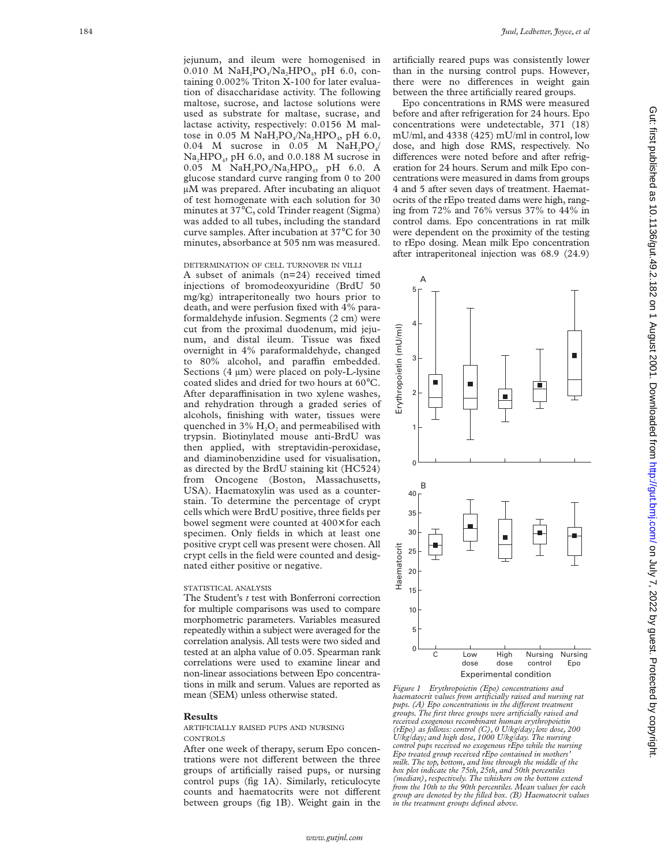jejunum, and ileum were homogenised in 0.010 M  $NaH_2PO_4/Na_2HPO_4$ , pH 6.0, containing 0.002% Triton X-100 for later evaluation of disaccharidase activity. The following maltose, sucrose, and lactose solutions were used as substrate for maltase, sucrase, and lactase activity, respectively: 0.0156 M maltose in 0.05 M  $NaH_2PO_4/Na_2HPO_4$ , pH 6.0, 0.04 M sucrose in 0.05 M  $NaH_2PO_4/$ Na 2HPO 4, pH 6.0, and 0.0.188 M sucrose in 0.05 M  $NaH_2PO_4/Na_2HPO_4$ , pH 6.0. A glucose standard curve ranging from 0 to 200 µM was prepared. After incubating an aliquot of test homogenate with each solution for 30 minutes at 37 °C, cold Trinder reagent (Sigma) was added to all tubes, including the standard curve samples. After incubation at 37 °C for 30 minutes, absorbance at 505 nm was measured.

#### DETERMINATION OF CELL TURNOVER IN VILLI

A subset of animals (n=24) received timed injections of bromodeoxyuridine (BrdU 50 mg/kg) intraperitoneally two hours prior to death, and were perfusion fixed with 4% paraformaldehyde infusion. Segments (2 cm) were cut from the proximal duodenum, mid jejunum, and distal ileum. Tissue was fixed overnight in 4% paraformaldehyde, changed to 80% alcohol, and paraffin embedded. Sections (4  $\mu$ m) were placed on poly-L-lysine coated slides and dried for two hours at 60 °C. After deparaffinisation in two xylene washes, and rehydration through a graded series of alcohols, finishing with water, tissues were quenched in  $3\%$   $H_2O_2$  and permeabilised with trypsin. Biotinylated mouse anti-BrdU was then applied, with streptavidin-peroxidase, and diaminobenzidine used for visualisation, as directed by the BrdU staining kit (HC524) from Oncogene (Boston, Massachusetts, USA). Haematoxylin was used as a counterstain. To determine the percentage of crypt cells which were BrdU positive, three fields per bowel segment were counted at 400x for each specimen. Only fields in which at least one positive crypt cell was present were chosen. All crypt cells in the field were counted and designated either positive or negative.

### STATISTICAL ANALYSIS

The Student's *t* test with Bonferroni correction for multiple comparisons was used to compare morphometric parameters. Variables measured repeatedly within a subject were averaged for the correlation analysis. All tests were two sided and tested at an alpha value of 0.05. Spearman rank correlations were used to examine linear and non-linear associations between Epo concentrations in milk and serum. Values are reported as mean (SEM) unless otherwise stated.

#### **Results**

ARTIFICIALLY RAISED PUPS AND NURSING **CONTROLS** 

After one week of therapy, serum Epo concentrations were not different between the three groups of artificially raised pups, or nursing control pups (fig 1A). Similarly, reticulocyte counts and haematocrits were not different between groups (fig 1B). Weight gain in the

artificially reared pups was consistently lower than in the nursing control pups. However, there were no differences in weight gain between the three artificially reared groups.

Epo concentrations in RMS were measured before and after refrigeration for 24 hours. Epo concentrations were undetectable, 371 (18) mU/ml, and 4338 (425) mU/ml in control, low dose, and high dose RMS, respectively. No differences were noted before and after refrigeration for 24 hours. Serum and milk Epo concentrations were measured in dams from groups 4 and 5 after seven days of treatment. Haematocrits of the rEpo treated dams were high, ranging from 72% and 76% versus 37% to 44% in control dams. Epo concentrations in rat milk were dependent on the proximity of the testing to rEpo dosing. Mean milk Epo concentration after intraperitoneal injection was 68.9 (24.9)



*Figure 1 Erythropoietin (Epo) concentrations and haematocrit values from artificially raised and nursing rat pups. (A)* Epo concentrations in the different treatment *groups. The first three groups were artificially raised and received exogenous recombinant human erythropoietin (rEpo) as follows: control (C), 0 U/kg/day; low dose, 200 U/kg/day; and high dose, 1000 U/kg/day. The nursing control pups received no exogenous rEpo while the nursing Epo treated group received rEpo contained in mothers' milk. The top, bottom, and line through the middle of the box plot indicate the 75th, 25th, and 50th percentiles (median), respectively. The whiskers on the bottom extend from the 10th to the 90th percentiles. Mean values for each group are denoted by the filled box. (B) Haematocrit values*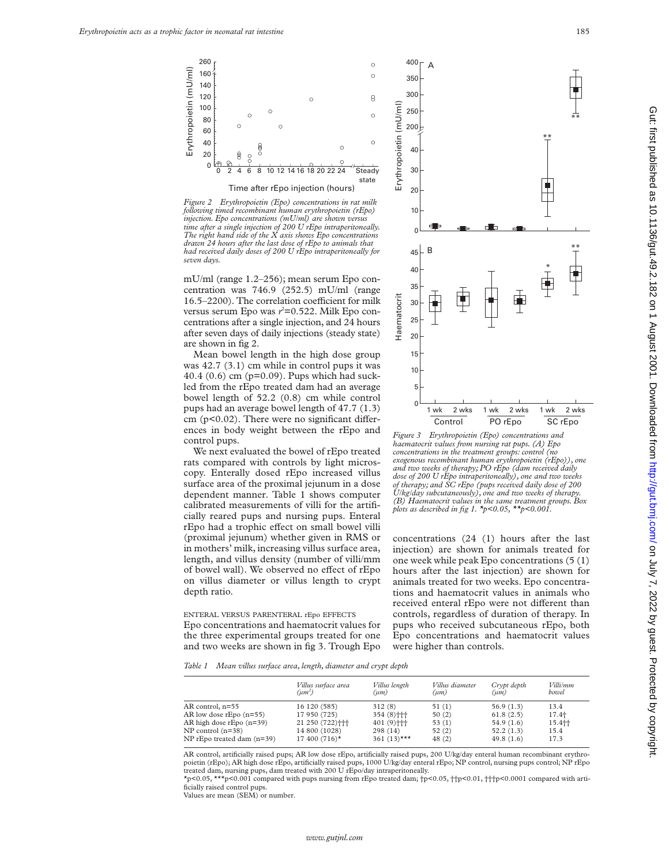

*Figure 2 Erythropoietin (Epo) concentrations in rat milk following timed recombinant human erythropoietin (rEpo) injection. Epo concentrations (mU/ml) are shown versus time after a single injection of 200 U rEpo intraperitoneally. The right hand side of the X axis shows Epo concentrations drawn 24 hours after the last dose of rEpo to animals that had received daily doses of 200 U rEpo intraperitoneally for seven days.*

mU/ml (range 1.2–256); mean serum Epo concentration was 746.9 (252.5) mU/ml (range 16.5–2200). The correlation coefficient for milk versus serum Epo was *r*<sup>2</sup>=0.522. Milk Epo concentrations after a single injection, and 24 hours after seven days of daily injections (steady state) are shown in fig 2.

Mean bowel length in the high dose group was 42.7 (3.1) cm while in control pups it was 40.4 (0.6) cm (p=0.09). Pups which had suckled from the rEpo treated dam had an average bowel length of 52.2 (0.8) cm while control pups had an average bowel length of 47.7 (1.3) cm  $(p<0.02)$ . There were no significant differences in body weight between the rEpo and control pups.

We next evaluated the bowel of rEpo treated rats compared with controls by light microscopy. Enterally dosed rEpo increased villus surface area of the proximal jejunum in a dose dependent manner. Table 1 shows computer calibrated measurements of villi for the artificially reared pups and nursing pups. Enteral rEpo had a trophic effect on small bowel villi (proximal jejunum) whether given in RMS or in mothers' milk, increasing villus surface area, length, and villus density (number of villi/mm of bowel wall). We observed no effect of rEpo on villus diameter or villus length to crypt depth ratio.

ENTERAL VERSUS PARENTERAL rEpo EFFECTS

Epo concentrations and haematocrit values for the three experimental groups treated for one and two weeks are shown in fig 3. Trough Epo



*Figure 3 Erythropoietin (Epo) concentrations and haematocrit values from nursing rat pups. (A) Epo concentrations in the treatment groups: control (no exogenous recombinant human erythropoietin (rEpo)), one and two weeks of therapy; PO rEpo (dam received daily dose of 200 U rEpo intraperitoneally), one and two weeks of therapy; and SC rEpo (pups received daily dose of 200 U/kg/day subcutaneously), one and two weeks of therapy. (B) Haematocrit values in the same treatment groups. Box plots as described in fig 1. \*p<0.05, \*\*p<0.001.*

concentrations (24 (1) hours after the last injection) are shown for animals treated for one week while peak Epo concentrations (5 (1) hours after the last injection) are shown for animals treated for two weeks. Epo concentrations and haematocrit values in animals who received enteral rEpo were not different than controls, regardless of duration of therapy. In pups who received subcutaneous rEpo, both Epo concentrations and haematocrit values were higher than controls.

*Table 1 Mean villus surface area, length, diameter and crypt depth*

|                                | Villus surface area<br>$(u m^2)$ | Villus length<br>(um)    | Villus diameter<br>$(\mu m)$ | Crypt depth<br>(um) | <i>Villi/mm</i><br>bowel |
|--------------------------------|----------------------------------|--------------------------|------------------------------|---------------------|--------------------------|
| AR control, n=55               | 16 120 (585)                     | 312(8)                   | 51(1)                        | 56.9(1.3)           | 13.4                     |
| AR low dose $rEpo(n=55)$       | 17 950 (725)                     | $354(8)$ + + +           | 50(2)                        | 61.8(2.5)           | 17.4+                    |
| AR high dose $rEpo(n=39)$      | 21 250 (722) +++                 | $401(9)$ <sup>++++</sup> | 53(1)                        | 54.9(1.6)           | 15.4十                    |
| $NP$ control (n=38)            | 14 800 (1028)                    | 298(14)                  | 52(2)                        | 52.2(1.3)           | 15.4                     |
| $NP$ rEpo treated dam $(n=39)$ | $17400(716)$ *                   | 361 $(13)$ ***           | 48(2)                        | 49.8(1.6)           | 17.3                     |

AR control, artificially raised pups; AR low dose rEpo, artificially raised pups, 200 U/kg/day enteral human recombinant erythropoietin (rEpo); AR high dose rEpo, artificially raised pups, 1000 U/kg/day enteral rEpo; NP control, nursing pups control; NP rEpo treated dam, nursing pups, dam treated with 200 U rEpo/day intraperitoneally.

\*p<0.05, \*\*\*p<0.001 compared with pups nursing from rEpo treated dam; †p<0.05, ††p<0.01, †††p<0.0001 compared with artificially raised control pups.

*www.gutjnl.com*

Values are mean (SEM) or number.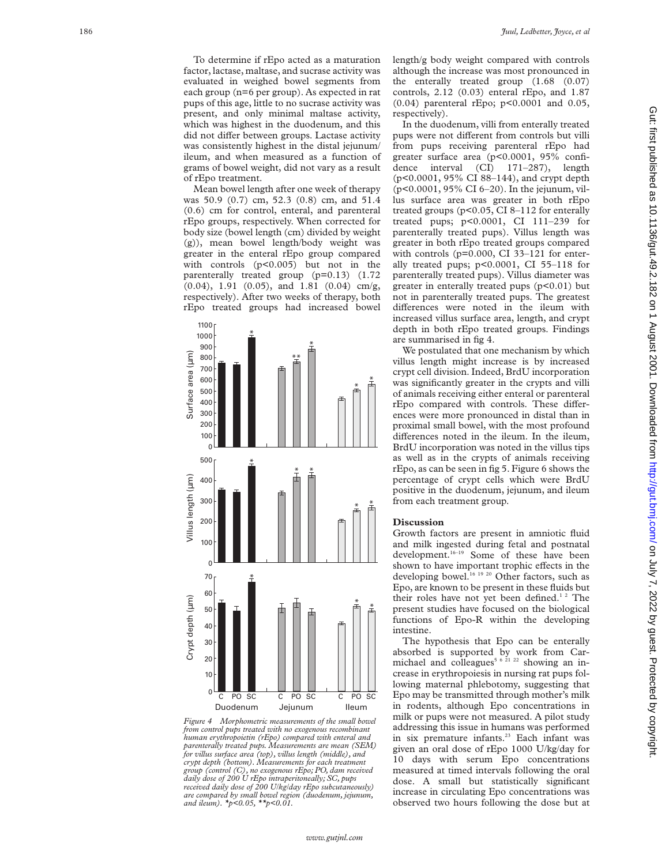To determine if rEpo acted as a maturation factor, lactase, maltase, and sucrase activity was evaluated in weighed bowel segments from each group (n=6 per group). As expected in rat pups of this age, little to no sucrase activity was present, and only minimal maltase activity, which was highest in the duodenum, and this did not differ between groups. Lactase activity was consistently highest in the distal jejunum/ ileum, and when measured as a function of grams of bowel weight, did not vary as a result of rEpo treatment.

Mean bowel length after one week of therapy was 50.9 (0.7) cm, 52.3 (0.8) cm, and 51.4 (0.6) cm for control, enteral, and parenteral rEpo groups, respectively. When corrected for body size (bowel length (cm) divided by weight (g)), mean bowel length/body weight was greater in the enteral rEpo group compared with controls (p<0.005) but not in the parenterally treated group (p=0.13) (1.72 (0.04), 1.91 (0.05), and 1.81 (0.04) cm/g, respectively). After two weeks of therapy, both rEpo treated groups had increased bowel



*Figure 4 Morphometric measurements of the small bowel from control pups treated with no exogenous recombinant human erythropoietin (rEpo) compared with enteral and parenterally treated pups. Measurements are mean (SEM) for villus surface area (top), villus length (middle), and crypt depth (bottom). Measurements for each treatment group (control (C), no exogenous rEpo; PO, dam received daily dose of 200 U rEpo intraperitoneally; SC, pups received daily dose of 200 U/kg/day rEpo subcutaneously) are compared by small bowel region (duodenum, jejunum,*

length/g body weight compared with controls although the increase was most pronounced in the enterally treated group (1.68 (0.07) controls, 2.12 (0.03) enteral rEpo, and 1.87 (0.04) parenteral rEpo; p<0.0001 and 0.05, respectively).

In the duodenum, villi from enterally treated pups were not different from controls but villi from pups receiving parenteral rEpo had greater surface area (p<0.0001, 95% confidence interval (CI) 171–287), length (p<0.0001, 95% CI 88–144), and crypt depth (p<0.0001, 95% CI 6–20). In the jejunum, villus surface area was greater in both rEpo treated groups (p<0.05, CI 8–112 for enterally treated pups; p<0.0001, CI 111–239 for parenterally treated pups). Villus length was greater in both rEpo treated groups compared with controls (p=0.000, CI 33-121 for enterally treated pups; p<0.0001, CI 55–118 for parenterally treated pups). Villus diameter was greater in enterally treated pups  $(p<0.01)$  but not in parenterally treated pups. The greatest differences were noted in the ileum with increased villus surface area, length, and crypt depth in both rEpo treated groups. Findings are summarised in fig 4.

We postulated that one mechanism by which villus length might increase is by increased crypt cell division. Indeed, BrdU incorporation was significantly greater in the crypts and villi of animals receiving either enteral or parenteral rEpo compared with controls. These differences were more pronounced in distal than in proximal small bowel, with the most profound differences noted in the ileum. In the ileum, BrdU incorporation was noted in the villus tips as well as in the crypts of animals receiving rEpo, as can be seen in fig 5. Figure 6 shows the percentage of crypt cells which were BrdU positive in the duodenum, jejunum, and ileum from each treatment group.

# **Discussion**

Growth factors are present in amniotic fluid and milk ingested during fetal and postnatal development.<sup>16-19</sup> Some of these have been shown to have important trophic effects in the developing bowel.<sup>16 19 20</sup> Other factors, such as Epo, are known to be present in these fluids but their roles have not yet been defined.<sup>12</sup> The present studies have focused on the biological functions of Epo-R within the developing intestine.

The hypothesis that Epo can be enterally absorbed is supported by work from Carmichael and colleagues<sup>5 6 21 22</sup> showing an increase in erythropoiesis in nursing rat pups following maternal phlebotomy, suggesting that Epo may be transmitted through mother's milk in rodents, although Epo concentrations in milk or pups were not measured. A pilot study addressing this issue in humans was performed in six premature infants.<sup>23</sup> Each infant was given an oral dose of rEpo 1000 U/kg/day for 10 days with serum Epo concentrations measured at timed intervals following the oral dose. A small but statistically significant increase in circulating Epo concentrations was observed two hours following the dose but at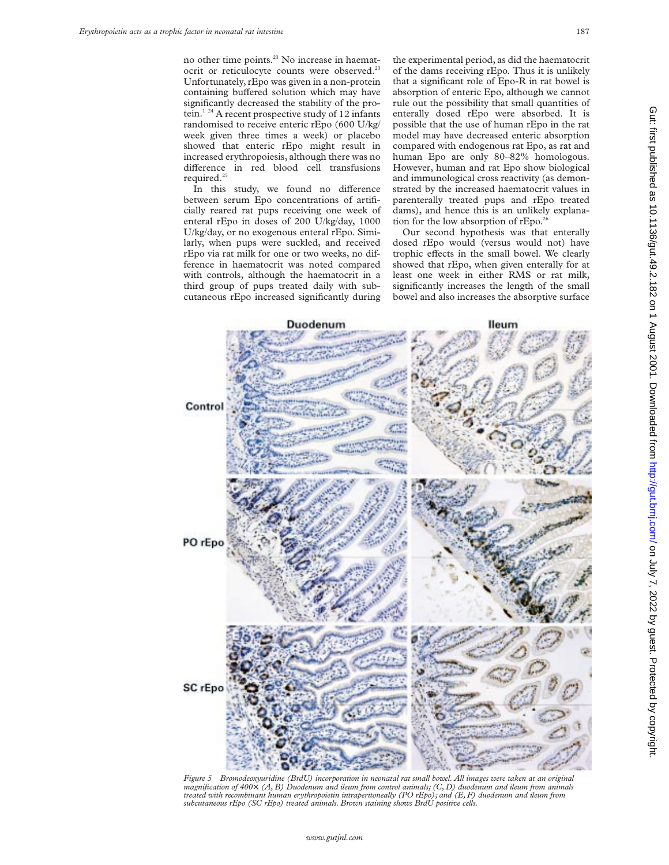no other time points.<sup>23</sup> No increase in haematocrit or reticulocyte counts were observed.<sup>23</sup> Unfortunately, rEpo was given in a non-protein containing buffered solution which may have significantly decreased the stability of the protein.<sup>1 24</sup> A recent prospective study of 12 infants randomised to receive enteric rEpo (600 U/kg/ week given three times a week) or placebo showed that enteric rEpo might result in increased erythropoiesis, although there was no difference in red blood cell transfusions required. $^{2}$ 

In this study, we found no difference between serum Epo concentrations of artificially reared rat pups receiving one week of enteral rEpo in doses of 200 U/kg/day, 1000 U/kg/day, or no exogenous enteral rEpo. Similarly, when pups were suckled, and received rEpo via rat milk for one or two weeks, no difference in haematocrit was noted compared with controls, although the haematocrit in a third group of pups treated daily with subcutaneous rEpo increased significantly during

the experimental period, as did the haematocrit of the dams receiving rEpo. Thus it is unlikely that a significant role of Epo-R in rat bowel is absorption of enteric Epo, although we cannot rule out the possibility that small quantities of enterally dosed rEpo were absorbed. It is possible that the use of human rEpo in the rat model may have decreased enteric absorption compared with endogenous rat Epo, as rat and human Epo are only 80–82% homologous. However, human and rat Epo show biological and immunological cross reactivity (as demonstrated by the increased haematocrit values in parenterally treated pups and rEpo treated dams), and hence this is an unlikely explanation for the low absorption of rEpo.<sup>26</sup>

Our second hypothesis was that enterally dosed rEpo would (versus would not) have trophic effects in the small bowel. We clearly showed that rEpo, when given enterally for at least one week in either RMS or rat milk, significantly increases the length of the small bowel and also increases the absorptive surface



*Figure 5 Bromodeoxyuridine (BrdU) incorporation in neonatal rat small bowel. All images were taken at an original magnification of 400*×*. (A, B) Duodenum and ileum from control animals; (C, D) duodenum and ileum from animals treated with recombinant human erythropoietin intraperitoneally (PO rEpo); and (E, F) duodenum and ileum from subcutaneous rEpo (SC rEpo) treated animals. Brown staining shows BrdU positive cells.*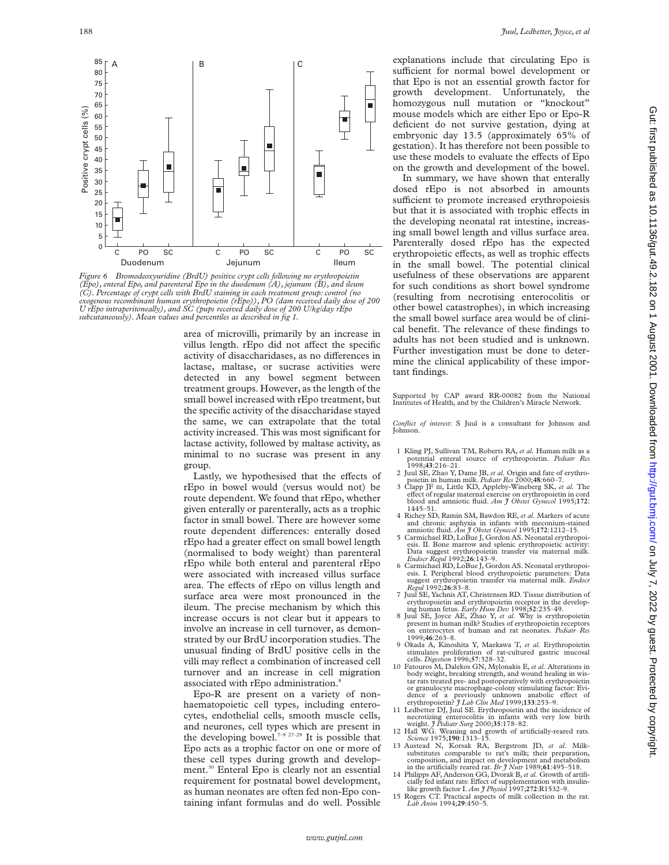

*Figure 6 Bromodeoxyuridine (BrdU) positive crypt cells following no erythropoietin (Epo), enteral Epo, and parenteral Epo in the duodenum (A), jejunum (B), and ileum (C). Percentage of crypt cells with BrdU staining in each treatment group: control (no exogenous recombinant human erythropoietin (rEpo)), PO (dam received daily dose of 200 U rEpo intraperitoneally), and SC (pups received daily dose of 200 U/kg/day rEpo subcutaneously). Mean values and percentiles as described in fig 1.*

area of microvilli, primarily by an increase in villus length. rEpo did not affect the specific activity of disaccharidases, as no differences in lactase, maltase, or sucrase activities were detected in any bowel segment between treatment groups. However, as the length of the small bowel increased with rEpo treatment, but the specific activity of the disaccharidase stayed the same, we can extrapolate that the total activity increased. This was most significant for lactase activity, followed by maltase activity, as minimal to no sucrase was present in any group.

Lastly, we hypothesised that the effects of rEpo in bowel would (versus would not) be route dependent. We found that rEpo, whether given enterally or parenterally, acts as a trophic factor in small bowel. There are however some route dependent differences: enterally dosed rEpo had a greater effect on small bowel length (normalised to body weight) than parenteral rEpo while both enteral and parenteral rEpo were associated with increased villus surface area. The effects of rEpo on villus length and surface area were most pronounced in the ileum. The precise mechanism by which this increase occurs is not clear but it appears to involve an increase in cell turnover, as demonstrated by our BrdU incorporation studies. The unusual finding of BrdU positive cells in the villi may reflect a combination of increased cell turnover and an increase in cell migration associated with rEpo administration.<sup>8</sup>

Epo-R are present on a variety of nonhaematopoietic cell types, including enterocytes, endothelial cells, smooth muscle cells, and neurones, cell types which are present in the developing bowel.<sup>7–9 27–29</sup> It is possible that Epo acts as a trophic factor on one or more of these cell types during growth and development.30 Enteral Epo is clearly not an essential requirement for postnatal bowel development, as human neonates are often fed non-Epo containing infant formulas and do well. Possible

explanations include that circulating Epo is sufficient for normal bowel development or that Epo is not an essential growth factor for growth development. Unfortunately, the homozygous null mutation or "knockout" mouse models which are either Epo or Epo-R deficient do not survive gestation, dying at embryonic day 13.5 (approximately 65% of gestation). It has therefore not been possible to use these models to evaluate the effects of Epo on the growth and development of the bowel.

In summary, we have shown that enterally dosed rEpo is not absorbed in amounts sufficient to promote increased erythropoiesis but that it is associated with trophic effects in the developing neonatal rat intestine, increasing small bowel length and villus surface area. Parenterally dosed rEpo has the expected erythropoietic effects, as well as trophic effects in the small bowel. The potential clinical usefulness of these observations are apparent for such conditions as short bowel syndrome (resulting from necrotising enterocolitis or other bowel catastrophes), in which increasing the small bowel surface area would be of clinical benefit. The relevance of these findings to adults has not been studied and is unknown. Further investigation must be done to determine the clinical applicability of these important findings.

Supported by CAP award RR-00082 from the National Institutes of Health, and by the Children's Miracle Network.

*Conflict of interest*: S Juul is a consultant for Johnson and Johnson.

- 1 Kling PJ, Sullivan TM, Roberts RA, *et al.* Human milk as a potential enteral source of erythropoietin. *Pediatr Res*
- 2 Juul SE, Zhao Y, Dame JB, et al. Origin and fate of erythro-
- poietin in human milk. *Pediatr Res* 2000;48:660–7.<br>3 Clapp JF III, Little KD, Appleby-Wineberg SK, *et al*. The effect of regular maternal exercise on erythropoietin in cord blood and amniotic fluid. *Am J Obstet Gynecol* 1995;**172**: 1445–51.
- 4 Richey SD, Ramin SM, Bawdon RE, *et al.* Markers of acute and chronic asphyxia in infants with meconium-stained amniotic fluid.  $Am \text{ } f$  Obstet Gynecol 1995;172:1212-15.
- 5 Carmichael RD, LoBue J, Gordon AS. Neonatal erythropoiesis. II. Bone marrow and splenic erythropoietic activity: Data suggest erythropoietin transfer via maternal milk.
- *Endocr Regul* 1992;**26**:143–9. 6 Carmichael RD, LoBue J, Gordon AS. Neonatal erythropoi-esis. I. Peripheral blood erythropoietic parameters: Data suggest erythropoietin transfer via maternal milk. *Endocr Regul* 1992;**26**:83–8.
- Juul SE, Yachnis AT, Christensen RD. Tissue distribution of erythropoietin and erythropoietin receptor in the develop-
- ing human fetus. *Early Hum Dev* 1998;**52**:235–49. 8 Juul SE, Joyce AE, Zhao Y, *et al.* Why is erythropoietin present in human milk? Studies of erythropoietin receptors on enterocytes of human and rat neonates. *Pediatr Res* 1999;**46**:263–8.
- 9 Okada A, Kinoshita Y, Maekawa T, *et al.* Erythropoietin stimulates proliferation of rat-cultured gastric mucosal cells. *Digestion* 1996;**57**:328–32.
- 10 Fatouros M, Dalekos GN, Mylonakis E, *et al.* Alterations in body weight, breaking strength, and wound healing in wis-tar rats treated pre- and postoperatively with erythropoietin or granulocyte macrophage-colony stimulating factor: Evidence of a previously unknown anabolic effect of<br>erythropoietin? *J Lab* Clin Med 1999;133:253–9.<br>11 Ledbetter DJ, Juul SE. Erythropoietin and the incidence of
- necrotizing enterocolitis in infants with very low birth weight. *J Pediatr Surg* 2000;**35**:178–82.
- 12 Hall WG. Weaning and growth of artificially-reared rats. *Science* 1975;**190**:1313–15.
- 13 Austead N, Korsak RA, Bergstrom JD, *et al.* Milksubstitutes comparable to rat's milk; their preparation, composition, and impact on development and metabolism in the artificially reared rat. *Br J Nutr* 1989;**61**:495–518.
- 14 Philipps AF, Anderson GG, Dvorak B, et al. Growth of artificially fed infant rats: Effect of supplementation with insulinlike growth factor I. *Am J Physiol* 1997;**272**:R1532–9.
- 15 Rogers CT. Practical aspects of milk collection in the rat. *Lab Anim* 1994;**29**:450–5.